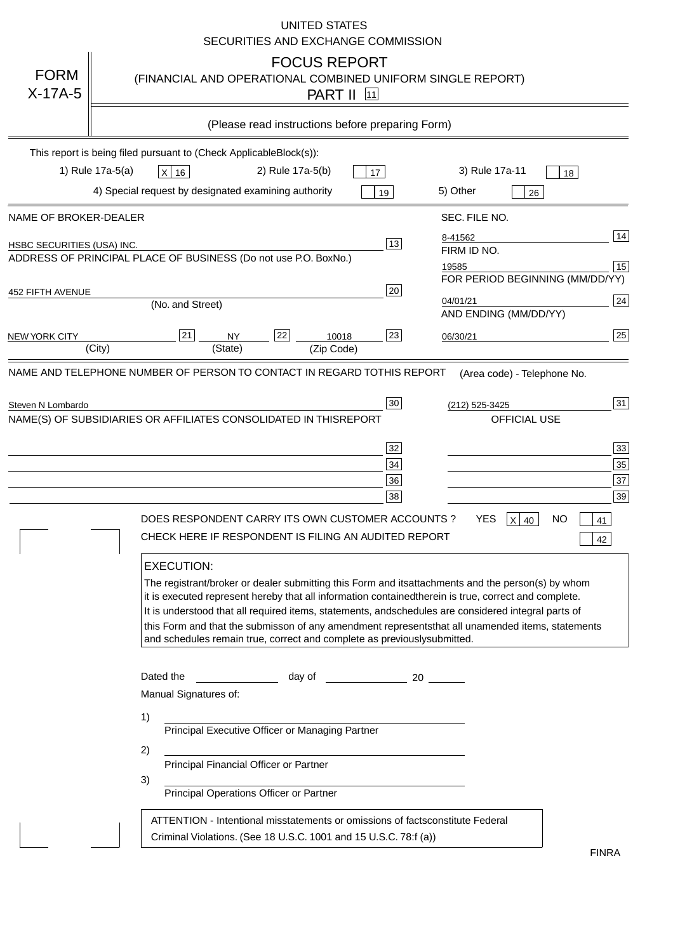|                                   | <b>UNITED STATES</b><br>SECURITIES AND EXCHANGE COMMISSION                                                                                                                                                                                                                                                                                                                                                                                                                                                                                                                                                                                                                                                                                                                                                                                                               |
|-----------------------------------|--------------------------------------------------------------------------------------------------------------------------------------------------------------------------------------------------------------------------------------------------------------------------------------------------------------------------------------------------------------------------------------------------------------------------------------------------------------------------------------------------------------------------------------------------------------------------------------------------------------------------------------------------------------------------------------------------------------------------------------------------------------------------------------------------------------------------------------------------------------------------|
| <b>FORM</b><br>$X-17A-5$          | <b>FOCUS REPORT</b><br>(FINANCIAL AND OPERATIONAL COMBINED UNIFORM SINGLE REPORT)<br><b>PART II</b> 11                                                                                                                                                                                                                                                                                                                                                                                                                                                                                                                                                                                                                                                                                                                                                                   |
|                                   | (Please read instructions before preparing Form)                                                                                                                                                                                                                                                                                                                                                                                                                                                                                                                                                                                                                                                                                                                                                                                                                         |
|                                   | This report is being filed pursuant to (Check Applicable<br>$Block(s)$ :<br>3) Rule 17a-11<br>1) Rule 17a-5(a)<br>2) Rule 17a-5(b)<br>$X$ 16<br>17<br>18<br>4) Special request by designated examining authority<br>5) Other<br>19<br>26                                                                                                                                                                                                                                                                                                                                                                                                                                                                                                                                                                                                                                 |
| NAME OF BROKER-DEALER             | SEC. FILE NO.                                                                                                                                                                                                                                                                                                                                                                                                                                                                                                                                                                                                                                                                                                                                                                                                                                                            |
| <b>HSBC SECURITIES (USA) INC.</b> | 14<br>8-41562<br>13<br>FIRM ID NO.<br>ADDRESS OF PRINCIPAL PLACE OF BUSINESS (Do not use P.O. Box<br>No.)<br>15<br>19585<br>FOR PERIOD BEGINNING (MM/DD/YY)                                                                                                                                                                                                                                                                                                                                                                                                                                                                                                                                                                                                                                                                                                              |
| <b>452 FIFTH AVENUE</b>           | 20<br>24<br>04/01/21<br>(No. and Street)<br>AND ENDING (MM/DD/YY)                                                                                                                                                                                                                                                                                                                                                                                                                                                                                                                                                                                                                                                                                                                                                                                                        |
| <b>NEW YORK CITY</b>              | 25<br>22<br>21<br>23<br><b>NY</b><br>10018<br>06/30/21<br>(City)<br>(State)<br>(Zip Code)                                                                                                                                                                                                                                                                                                                                                                                                                                                                                                                                                                                                                                                                                                                                                                                |
|                                   | NAME(S) OF SUBSIDIARIES OR AFFILIATES CONSOLIDATED IN THIS<br><b>REPORT</b><br><b>OFFICIAL USE</b><br>$\overline{33}$<br>32<br>35<br>34<br>37<br>36<br>39<br>38<br>DOES RESPONDENT CARRY ITS OWN CUSTOMER ACCOUNTS?<br><b>YES</b><br>$X$ 40<br><b>NO</b><br>41<br>CHECK HERE IF RESPONDENT IS FILING AN AUDITED REPORT<br>42<br><b>EXECUTION:</b><br>The registrant/broker or dealer submitting this Form and its<br>attachments and the person(s) by whom<br>it is executed represent hereby that all information contained<br>therein is true, correct and complete.<br>It is understood that all required items, statements, and<br>schedules are considered integral parts of<br>this Form and that the submisson of any amendment represents<br>that all unamended items, statements<br>and schedules remain true, correct and complete as previously<br>submitted. |
|                                   | Dated the<br>day of<br>20<br>Manual Signatures of:<br>1)<br>Principal Executive Officer or Managing Partner<br>2)<br>Principal Financial Officer or Partner<br>3)<br>Principal Operations Officer or Partner                                                                                                                                                                                                                                                                                                                                                                                                                                                                                                                                                                                                                                                             |
|                                   | ATTENTION - Intentional misstatements or omissions of facts<br>constitute Federal<br>Criminal Violations. (See 18 U.S.C. 1001 and 15 U.S.C. 78:f (a)<br>$\lambda$<br><b>FINRA</b>                                                                                                                                                                                                                                                                                                                                                                                                                                                                                                                                                                                                                                                                                        |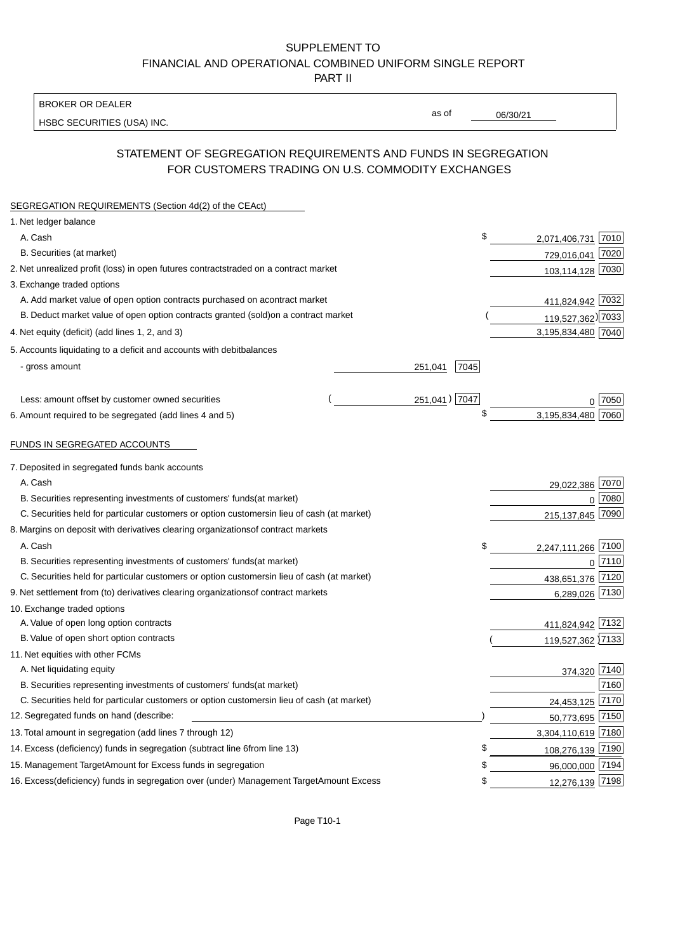BROKER OR DEALER

HSBC SECURITIES (USA) INC.

06/30/21

as of

# STATEMENT OF SEGREGATION REQUIREMENTS AND FUNDS IN SEGREGATION FOR CUSTOMERS TRADING ON U.S. COMMODITY EXCHANGES

| SEGREGATION REQUIREMENTS (Section 4d(2) of the CEAct)                                          |                 |                    |             |
|------------------------------------------------------------------------------------------------|-----------------|--------------------|-------------|
| 1. Net ledger balance                                                                          |                 |                    |             |
| A. Cash                                                                                        | \$              | 2,071,406,731 7010 |             |
| B. Securities (at market)                                                                      |                 | 729,016,041 7020   |             |
| 2. Net unrealized profit (loss) in open futures contracts<br>traded on a contract market       |                 | 103,114,128 7030   |             |
| 3. Exchange traded options                                                                     |                 |                    |             |
| A. Add market value of open option contracts purchased on a<br>contract market                 |                 | 411,824,942 7032   |             |
| B. Deduct market value of open option contracts granted (sold)<br>on a contract market         |                 | 119,527,362) 7033  |             |
| 4. Net equity (deficit) (add lines 1, 2, and 3)                                                |                 | 3,195,834,480 7040 |             |
| 5. Accounts liquidating to a deficit and accounts with debit<br>balances                       |                 |                    |             |
| - gross amount                                                                                 | 7045<br>251,041 |                    |             |
|                                                                                                |                 |                    |             |
| Less: amount offset by customer owned securities                                               | 251,041) 7047   |                    | 0.7050      |
| 6. Amount required to be segregated (add lines 4 and 5)                                        |                 | 3,195,834,480      | 7060        |
|                                                                                                |                 |                    |             |
| FUNDS IN SEGREGATED ACCOUNTS                                                                   |                 |                    |             |
| 7. Deposited in segregated funds bank accounts                                                 |                 |                    |             |
| A. Cash                                                                                        |                 | 29,022,386 7070    |             |
| B. Securities representing investments of customers' funds<br>(at market)                      |                 | $\Omega$           | 7080        |
| C. Securities held for particular customers or option customers<br>in lieu of cash (at market) |                 | 215, 137, 845      | 7090        |
| 8. Margins on deposit with derivatives clearing organizations<br>of contract markets           |                 |                    |             |
| A. Cash                                                                                        | \$              | 2,247,111,266 7100 |             |
| B. Securities representing investments of customers' funds<br>(at market)                      |                 |                    | $0^{17110}$ |
| C. Securities held for particular customers or option customers<br>in lieu of cash (at market) |                 | 438,651,376 7120   |             |
| 9. Net settlement from (to) derivatives clearing organizations<br>of contract markets          |                 | 6,289,026 7130     |             |
| 10. Exchange traded options                                                                    |                 |                    |             |
| A. Value of open long option contracts                                                         |                 | 411,824,942 7132   |             |
| B. Value of open short option contracts                                                        |                 | 119,527,362 7133   |             |
| 11. Net equities with other FCMs                                                               |                 |                    |             |
| A. Net liquidating equity                                                                      |                 | 374,320 7140       |             |
| B. Securities representing investments of customers' funds<br>(at market)                      |                 |                    | 7160        |
| C. Securities held for particular customers or option customers<br>in lieu of cash (at market) |                 | 24,453,125         | 7170        |
| 12. Segregated funds on hand (describe:                                                        |                 | 50,773,695 7150    |             |
| 13. Total amount in segregation (add lines 7 through 12)                                       |                 | 3,304,110,619 7180 |             |
| 14. Excess (deficiency) funds in segregation (subtract line 6 from line 13)                    | \$              | 108,276,139 7190   |             |
| 15. Management Target Amount for Excess funds in segregation                                   | S               | 96,000,000 7194    |             |
| 16. Excess (deficiency) funds in segregation over (under) Management Target Amount Excess      | \$              | 12,276,139 7198    |             |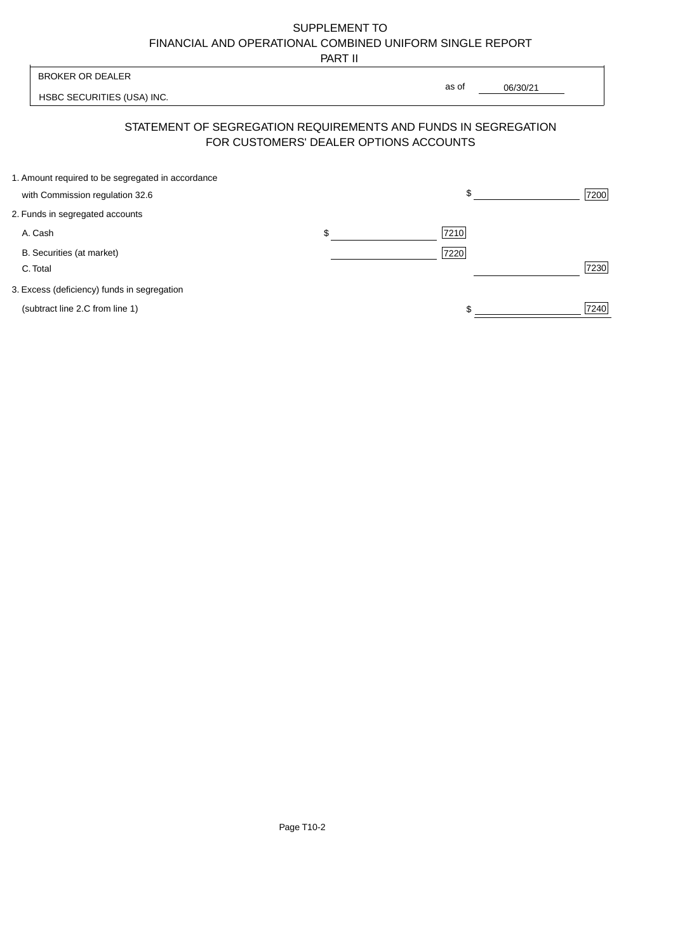PART II

|                                                   | 1 AB 11                         |      |                                                                                                                                     |
|---------------------------------------------------|---------------------------------|------|-------------------------------------------------------------------------------------------------------------------------------------|
|                                                   |                                 |      |                                                                                                                                     |
| HSBC SECURITIES (USA) INC.                        |                                 |      |                                                                                                                                     |
|                                                   |                                 |      |                                                                                                                                     |
| 1. Amount required to be segregated in accordance |                                 |      |                                                                                                                                     |
|                                                   |                                 |      | 7200                                                                                                                                |
|                                                   |                                 |      |                                                                                                                                     |
|                                                   | \$                              | 7210 |                                                                                                                                     |
|                                                   |                                 | 7220 |                                                                                                                                     |
|                                                   |                                 |      | 7230                                                                                                                                |
| 3. Excess (deficiency) funds in segregation       |                                 |      |                                                                                                                                     |
|                                                   |                                 |      | 7240                                                                                                                                |
|                                                   | with Commission regulation 32.6 |      | as of<br>06/30/21<br>STATEMENT OF SEGREGATION REQUIREMENTS AND FUNDS IN SEGREGATION<br>FOR CUSTOMERS' DEALER OPTIONS ACCOUNTS<br>\$ |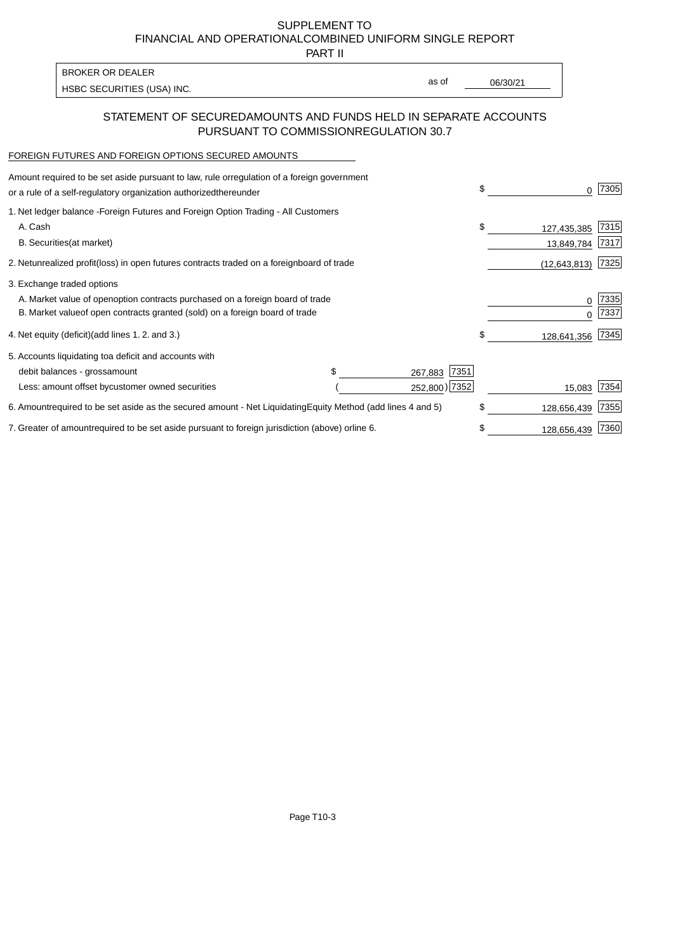PART II

HSBC SECURITIES (USA) INC. The state of the second second in the second second second second second second second second second second second second second second second second second second second second second second sec BROKER OR DEALER

as of

## STATEMENT OF SECURED AMOUNTS AND FUNDS HELD IN SEPARATE ACCOUNTS PURSUANT TO COMMISSION REGULATION 30.7

#### FOREIGN FUTURES AND FOREIGN OPTIONS SECURED AMOUNTS

| regulation of a foreign government<br>Amount required to be set aside pursuant to law, rule or<br>or a rule of a self-regulatory organization authorized<br>thereunder                       |                                   | \$                              | 7305         |
|----------------------------------------------------------------------------------------------------------------------------------------------------------------------------------------------|-----------------------------------|---------------------------------|--------------|
| 1. Net ledger balance - Foreign Futures and Foreign Option Trading - All Customers<br>A. Cash<br><b>B.</b> Securities<br>(at market)                                                         |                                   | \$<br>127,435,385<br>13,849,784 | 7315<br>7317 |
| unrealized profit (loss) in open futures contracts traded on a foreign<br>2. Net                                                                                                             | board of trade                    | (12, 643, 813)                  | 7325         |
| 3. Exchange traded options<br>A. Market value of open option contracts purchased on a foreign board of trade<br>B. Market value of open contracts granted (sold) on a foreign board of trade |                                   | $\Omega$                        | 7335<br>7337 |
| (add lines 1.2. and 3.)<br>4. Net equity (deficit)                                                                                                                                           |                                   | \$<br>128,641,356               | 7345         |
| 5. Accounts liquidating to a deficit and accounts with<br>debit balances - gross<br>amount                                                                                                   | 7351<br>267,883                   |                                 |              |
| Less: amount offset by customer owned securities                                                                                                                                             | 252,800) 7352                     | 15,083                          | 7354         |
| 6. Amount required to be set aside as the secured amount - Net Liquidating                                                                                                                   | Equity Method (add lines 4 and 5) | \$<br>128,656,439               | 7355         |
| 7. Greater of amount required to be set aside pursuant to foreign jurisdiction (above) or line 6.                                                                                            |                                   | 128,656,439                     | 7360         |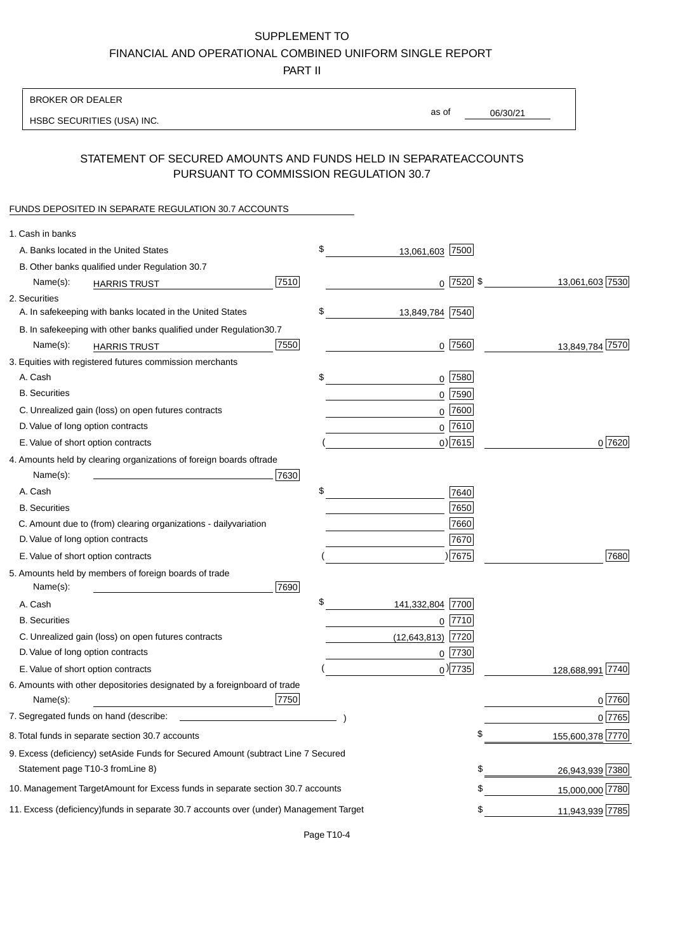PART II

| <b>BROKER OR DEALER</b>                                                                           |                        |               |                 |                  |
|---------------------------------------------------------------------------------------------------|------------------------|---------------|-----------------|------------------|
| HSBC SECURITIES (USA) INC.                                                                        | as of                  |               | 06/30/21        |                  |
|                                                                                                   |                        |               |                 |                  |
| STATEMENT OF SECURED AMOUNTS AND FUNDS HELD IN SEPARATE<br>PURSUANT TO COMMISSION REGULATION 30.7 |                        |               | <b>ACCOUNTS</b> |                  |
| FUNDS DEPOSITED IN SEPARATE REGULATION 30.7 ACCOUNTS                                              |                        |               |                 |                  |
| 1. Cash in banks                                                                                  |                        |               |                 |                  |
| A. Banks located in the United States                                                             | \$<br>13,061,603 7500  |               |                 |                  |
| B. Other banks qualified under Regulation 30.7                                                    |                        |               |                 |                  |
| 7510<br>Name(s):<br><b>HARRIS TRUST</b>                                                           |                        | $0$  7520  \$ |                 | 13,061,603 7530  |
| 2. Securities                                                                                     |                        |               |                 |                  |
| A. In safekeeping with banks located in the United States                                         | \$<br>13,849,784 7540  |               |                 |                  |
| B. In safekeeping with other banks qualified under Regulation<br>30.7                             |                        |               |                 |                  |
| 7550<br>Name(s):<br><b>HARRIS TRUST</b>                                                           |                        | $0$ 7560      |                 | 13,849,784 7570  |
| 3. Equities with registered futures commission merchants                                          |                        |               |                 |                  |
| A. Cash                                                                                           | \$                     | $0$ 7580      |                 |                  |
| <b>B.</b> Securities                                                                              |                        | $0$ 7590      |                 |                  |
| C. Unrealized gain (loss) on open futures contracts                                               |                        | $0$ 7600      |                 |                  |
| D. Value of long option contracts                                                                 |                        | $0$ 7610      |                 |                  |
| E. Value of short option contracts                                                                |                        | $0$ ) 7615    |                 | 0 7620           |
| 4. Amounts held by clearing organizations of foreign boards of<br>trade                           |                        |               |                 |                  |
| Name(s):<br>7630                                                                                  |                        |               |                 |                  |
| A. Cash                                                                                           | \$                     | 7640          |                 |                  |
| <b>B.</b> Securities                                                                              |                        | 7650          |                 |                  |
| C. Amount due to (from) clearing organizations - daily<br>variation                               |                        | 7660          |                 |                  |
| D. Value of long option contracts                                                                 |                        | 7670          |                 |                  |
| E. Value of short option contracts                                                                |                        | )7675         |                 | 7680             |
| 5. Amounts held by members of foreign boards of trade<br>Name(s):<br>7690                         |                        |               |                 |                  |
| A. Cash                                                                                           | \$<br>141,332,804 7700 |               |                 |                  |
| <b>B.</b> Securities                                                                              |                        | $0$  7710     |                 |                  |
| C. Unrealized gain (loss) on open futures contracts                                               | $(12,643,813)$ 7720    |               |                 |                  |
| D. Value of long option contracts                                                                 |                        | $0$  7730     |                 |                  |
| E. Value of short option contracts                                                                |                        | $_0$ ) 7735   |                 | 128,688,991 7740 |
| 6. Amounts with other depositories designated by a foreign<br>board of trade<br>7750<br>Name(s):  |                        |               |                 | 0 7760           |
| 7. Segregated funds on hand (describe:                                                            |                        |               |                 | 0 7765           |
| 8. Total funds in separate section 30.7 accounts                                                  |                        |               | \$              | 155,600,378 7770 |
|                                                                                                   |                        |               |                 |                  |
| 9. Excess (deficiency) set Aside Funds for Secured Amount (subtract Line 7 Secured                |                        |               | \$              |                  |
| Statement page T10-3 from Line 8)                                                                 |                        |               |                 | 26,943,939 7380  |
| 10. Management Target Amount for Excess funds in separate section 30.7 accounts                   |                        |               | \$              | 15,000,000 7780  |
| 11. Excess (deficiency) funds in separate 30.7 accounts over (under) Management Target            |                        |               | \$              | 11,943,939 7785  |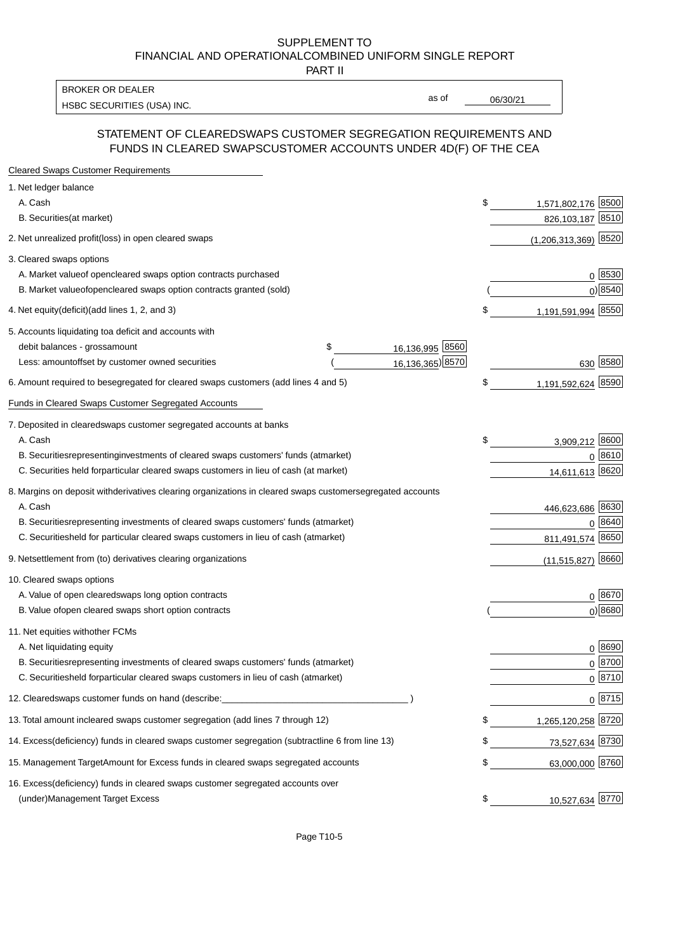PART II

HSBC SECURITIES (USA) INC.  $\overline{16/30/21}$  as of  $\overline{06/30/21}$ BROKER OR DEALER

as of

### STATEMENT OF CLEARED SWAPS CUSTOMER SEGREGATION REQUIREMENTS AND FUNDS IN CLEARED SWAPS CUSTOMER ACCOUNTS UNDER 4D(F) OF THE CEA

| <b>Cleared Swaps Customer Requirements</b>                                                                  |    |                        |
|-------------------------------------------------------------------------------------------------------------|----|------------------------|
| 1. Net ledger balance                                                                                       |    |                        |
| A. Cash                                                                                                     | \$ | 1,571,802,176 8500     |
| B. Securities (at market)                                                                                   |    | 826,103,187 8510       |
| 2. Net unrealized profit (loss) in open cleared swaps                                                       |    | $(1,206,313,369)$ 8520 |
| 3. Cleared swaps options                                                                                    |    |                        |
| A. Market value of open cleared swaps option contracts purchased                                            |    | 0   8530               |
| B. Market value of open cleared swaps option contracts granted (sold)                                       |    | $0)$ 8540              |
| 4. Net equity (deficit) (add lines 1, 2, and 3)                                                             | \$ | 1,191,591,994 8550     |
| 5. Accounts liquidating to a deficit and accounts with                                                      |    |                        |
| 16,136,995 8560<br>debit balances - gross<br>\$<br>amount                                                   |    |                        |
| 16,136,365) 8570<br>Less: amount offset by customer owned securities                                        |    | 630 8580               |
| 6. Amount required to be segregated for cleared swaps customers (add lines 4 and 5)                         | \$ | 1,191,592,624 8590     |
| Funds in Cleared Swaps Customer Segregated Accounts                                                         |    |                        |
| 7. Deposited in cleared swaps customer segregated accounts at banks                                         |    |                        |
| A. Cash                                                                                                     | \$ | 3,909,212 8600         |
| B. Securities representing investments of cleared swaps customers' funds (at market)                        |    | $0^{8610}$             |
| C. Securities held for particular cleared swaps customers in lieu of cash (at market)                       |    | 14,611,613 8620        |
| 8. Margins on deposit with derivatives clearing organizations in cleared swaps customer segregated accounts |    |                        |
| A. Cash                                                                                                     |    | 446,623,686 8630       |
| representing investments of cleared swaps customers' funds (at market)<br><b>B.</b> Securities              |    | 8640<br>0              |
| C. Securities held for particular cleared swaps customers in lieu of cash (at market)                       |    | 8650<br>811,491,574    |
| 9. Net settlement from (to) derivatives clearing organizations                                              |    | 8660<br>(11, 515, 827) |
| 10. Cleared swaps options                                                                                   |    |                        |
| A. Value of open cleared swaps long option contracts                                                        |    | $0^{8670}$             |
| B. Value of open cleared swaps short option contracts                                                       |    | $0$ ) 8680             |
| 11. Net equities with other FCMs                                                                            |    |                        |
| A. Net liquidating equity                                                                                   |    | $0^{8690}$             |
| B. Securities representing investments of cleared swaps customers' funds (at market)                        |    | $0^{8700}$             |
| C. Securities held for particular cleared swaps customers in lieu of cash (at market)                       |    | 0 8710                 |
| 12. Cleared swaps customer funds on hand (describe:                                                         |    | $0 \;  8715 $          |
| 13. Total amount in cleared swaps customer segregation (add lines 7 through 12)                             | S  | 1,265,120,258 8720     |
| 14. Excess (deficiency) funds in cleared swaps customer segregation (subtract line 6 from line 13)          |    | 73,527,634 8730        |
| 15. Management Target Amount for Excess funds in cleared swaps segregated accounts                          | \$ | 63,000,000 8760        |
| 16. Excess<br>(deficiency) funds in cleared swaps customer segregated accounts over                         |    |                        |
| <b>Management Target Excess</b><br>(under)                                                                  | \$ | 10,527,634 8770        |